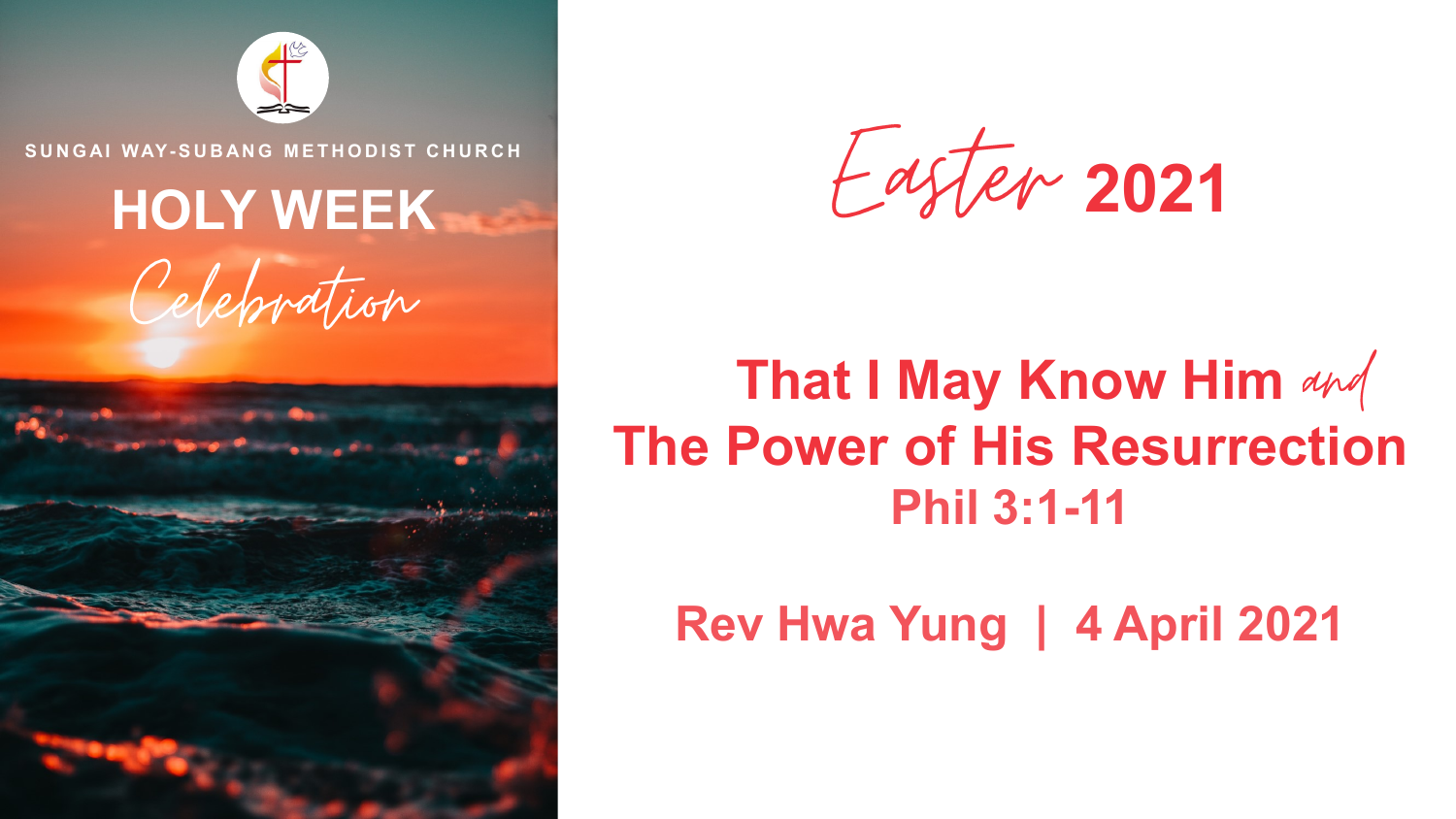

**S U N G AI WAY- S U B AN G M E T H O D I S T C H U R C H**

# **HOLY WEEK**





**2021**

## **That I May Know Him and The Power of His Resurrection Phil 3:1-11**

#### **Rev Hwa Yung | 4 April 2021**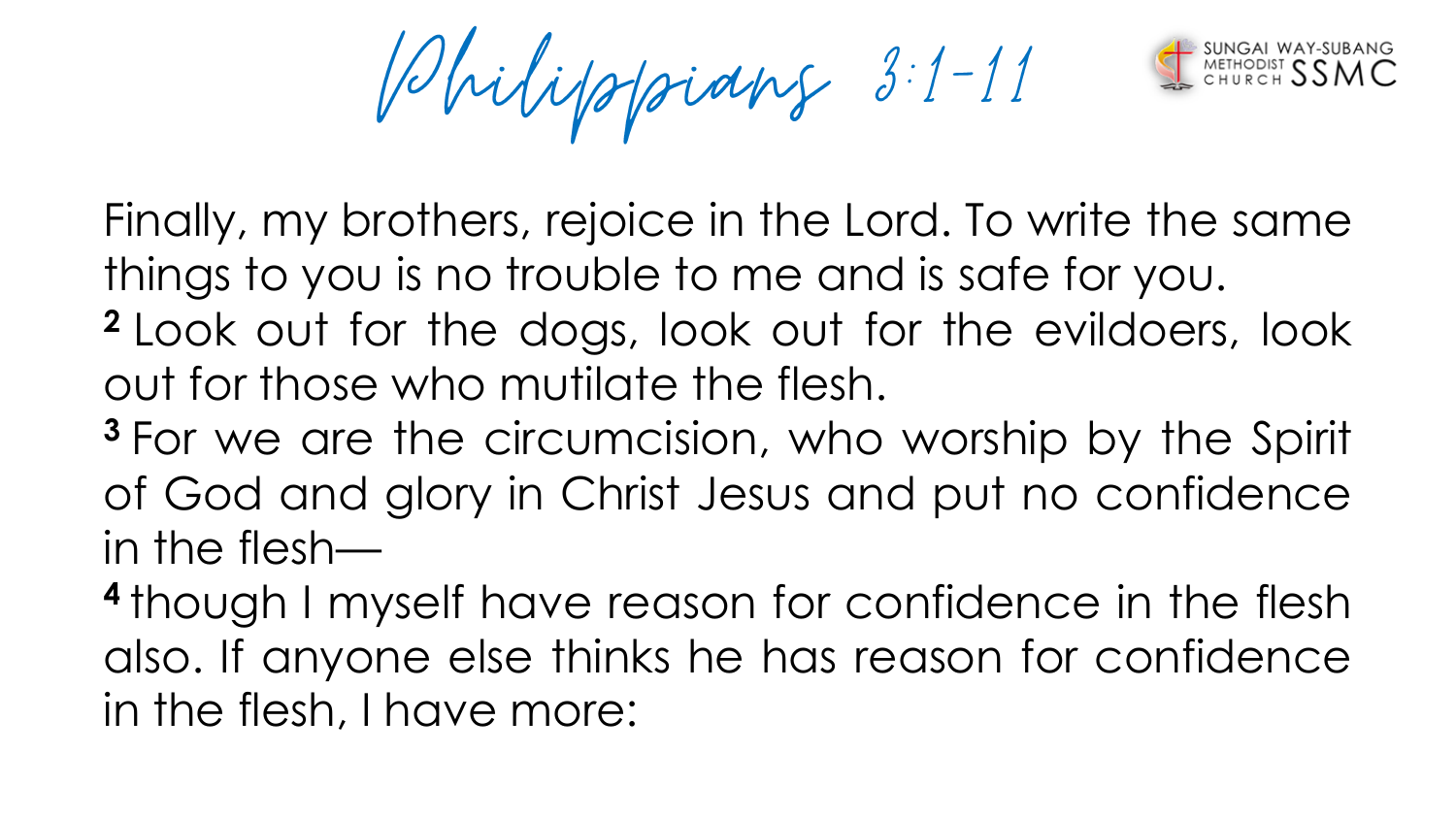Bhilippidng 3:1-11

Finally, my brothers, rejoice in the Lord. To write the same things to you is no trouble to me and is safe for you.

- **<sup>2</sup>** Look out for the dogs, look out for the evildoers, look out for those who mutilate the flesh.
- **<sup>3</sup>** For we are the circumcision, who worship by the Spirit of God and glory in Christ Jesus and put no confidence in the flesh—

**4** though I myself have reason for confidence in the flesh also. If anyone else thinks he has reason for confidence in the flesh, I have more: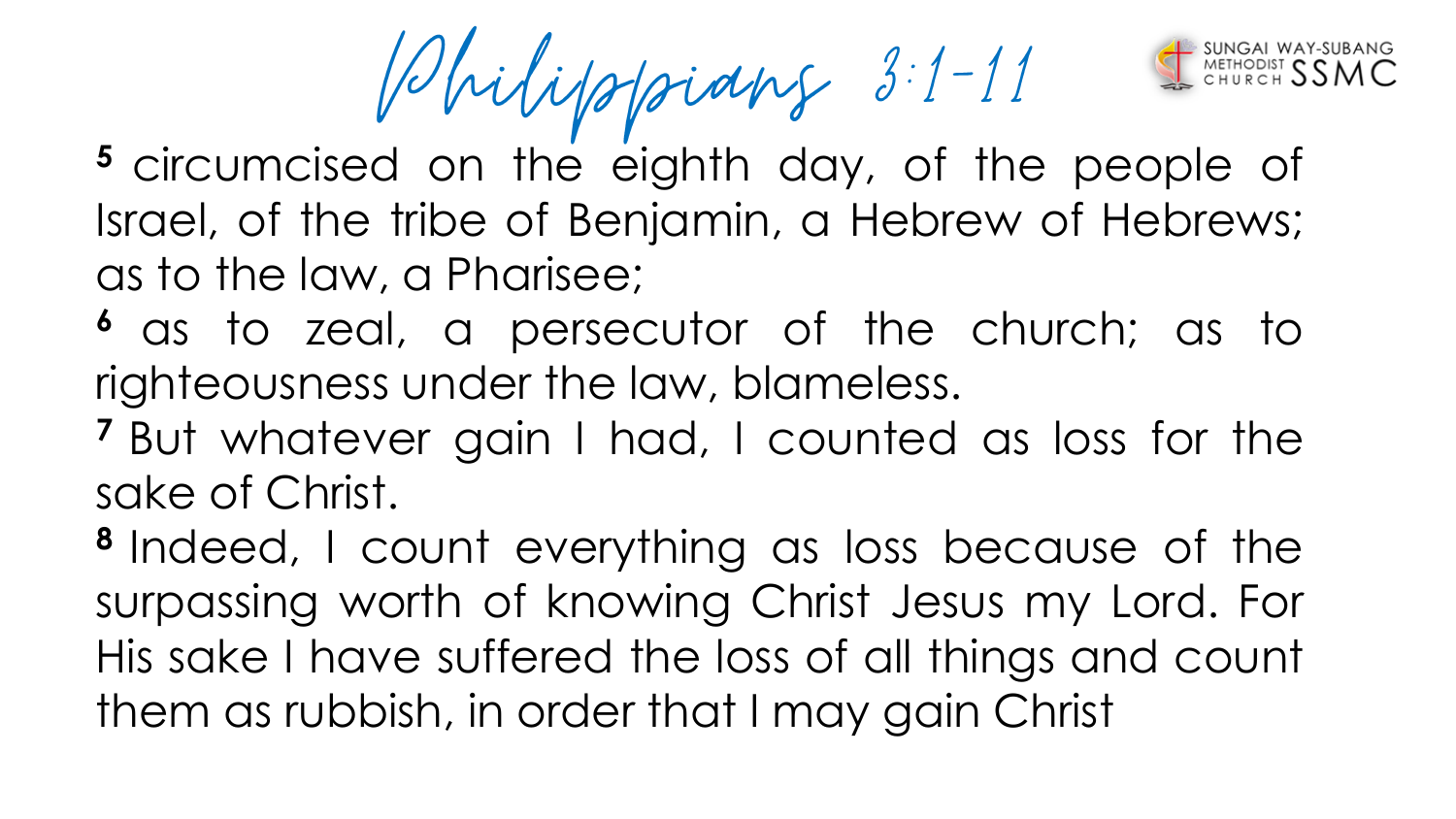Bhilippidng 3:1-11

- **<sup>5</sup>** circumcised on the eighth day, of the people of Israel, of the tribe of Benjamin, a Hebrew of Hebrews; as to the law, a Pharisee;
- **<sup>6</sup>** as to zeal, a persecutor of the church; as to righteousness under the law, blameless.
- **<sup>7</sup>** But whatever gain I had, I counted as loss for the sake of Christ.

**8** Indeed, I count everything as loss because of the surpassing worth of knowing Christ Jesus my Lord. For His sake I have suffered the loss of all things and count them as rubbish, in order that I may gain Christ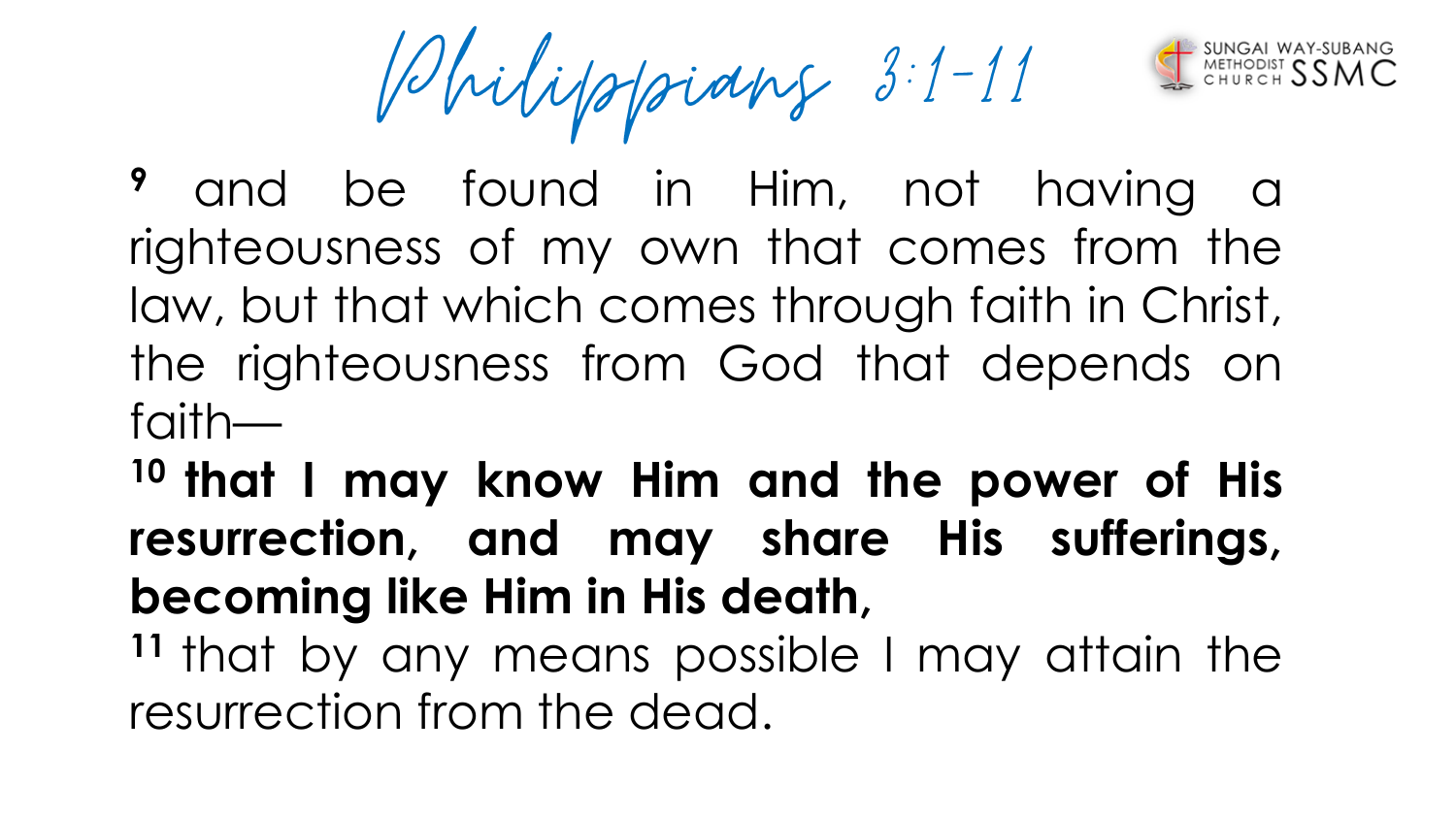Volvilippains 3:1-11

and be found in Him, not having a righteousness of my own that comes from the law, but that which comes through faith in Christ, the righteousness from God that depends on faith—

**<sup>10</sup> that I may know Him and the power of His resurrection, and may share His sufferings, becoming like Him in His death,**

**<sup>11</sup>** that by any means possible I may attain the resurrection from the dead.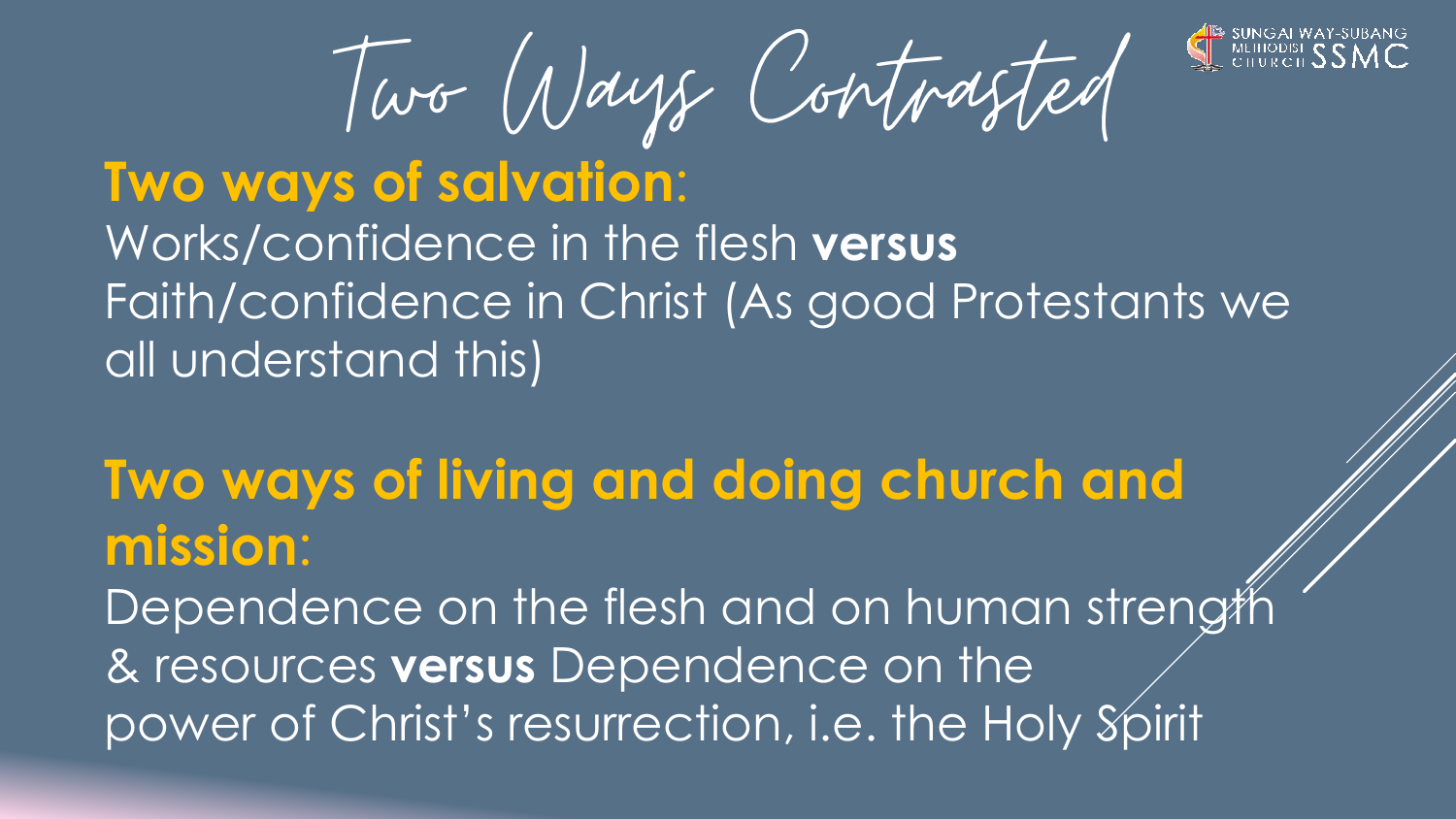

Two Ways Contrasted

### **Two ways of salvation**: Works/confidence in the flesh **versus** Faith/confidence in Christ (As good Protestants we all understand this)

### **Two ways of living and doing church and mission**:

Dependence on the flesh and on human strength & resources **versus** Dependence on the power of Christ's resurrection, i.e. the Holy Spirit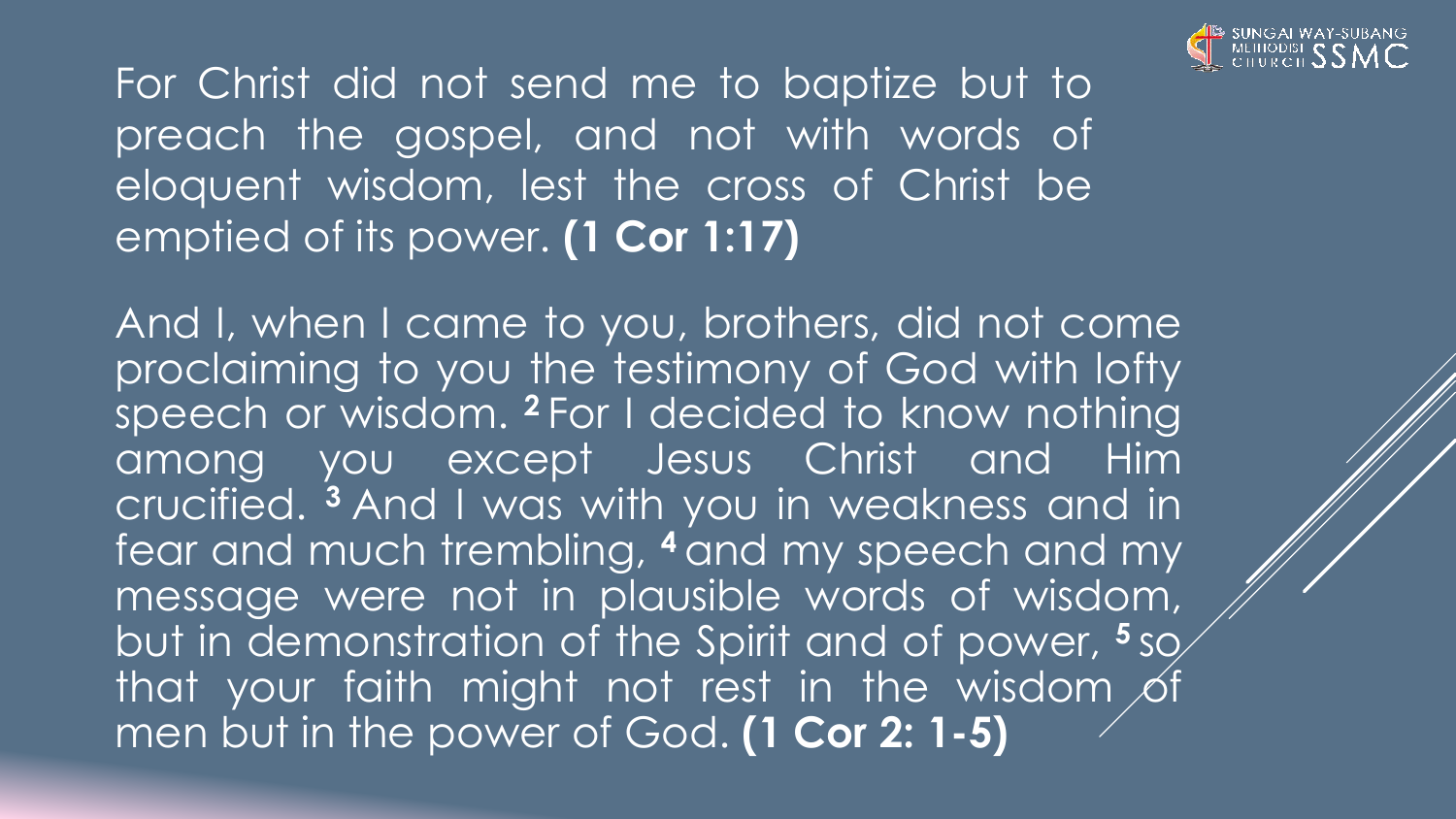

For Christ did not send me to baptize but to preach the gospel, and not with words of eloquent wisdom, lest the cross of Christ be emptied of its power. **(1 Cor 1:17)**

And I, when I came to you, brothers, did not come proclaiming to you the testimony of God with lofty speech or wisdom. **<sup>2</sup>** For I decided to know nothing among you except Jesus Christ and Him crucified. **<sup>3</sup>** And I was with you in weakness and in fear and much trembling, **<sup>4</sup>** and my speech and my message were not in plausible words of wisdom, but in demonstration of the Spirit and of power, **<sup>5</sup>** so that your faith might not rest in the wisdom of men but in the power of God. **(1 Cor 2: 1-5)**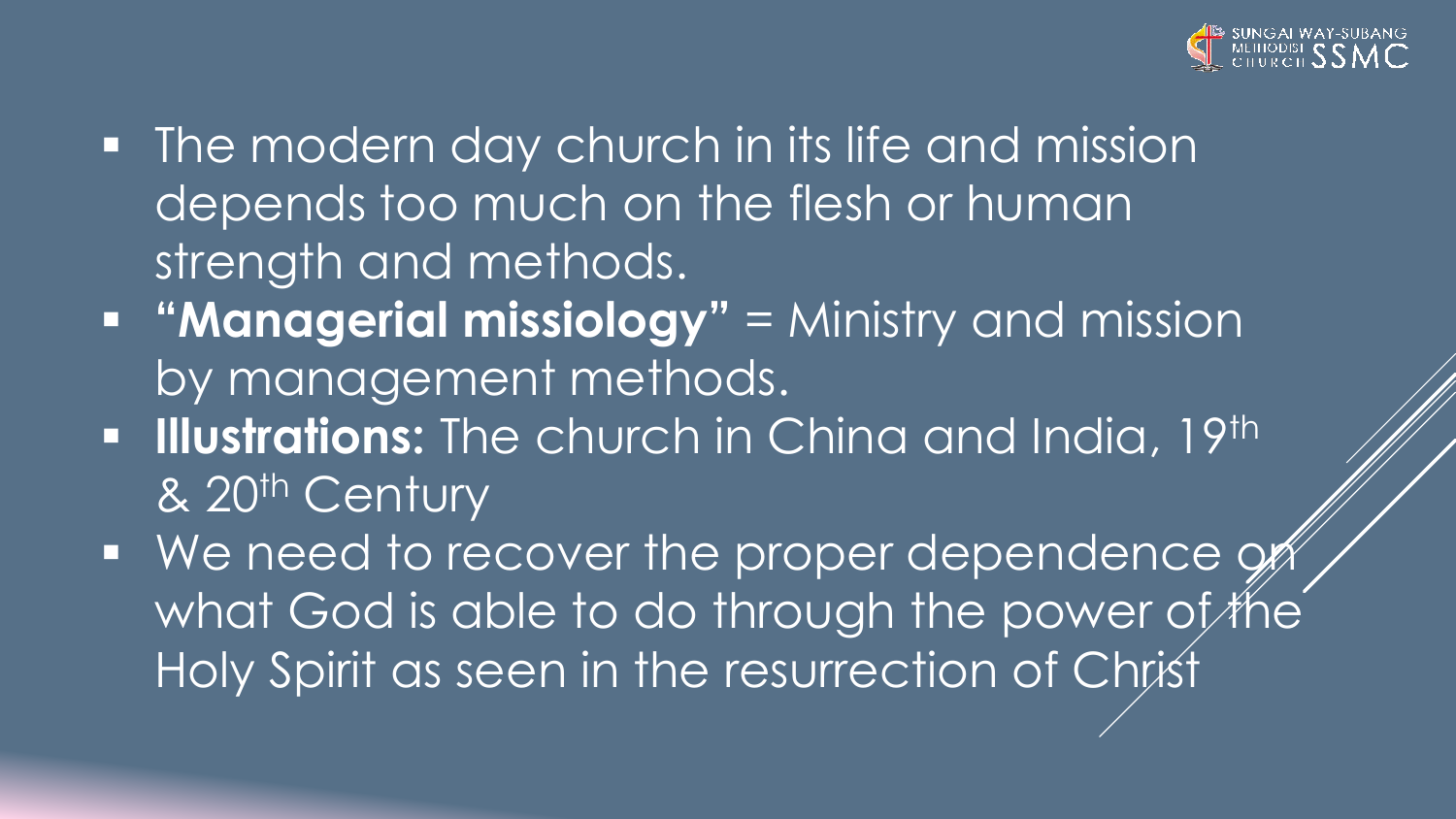

- The modern day church in its life and mission depends too much on the flesh or human strength and methods.
- **"Managerial missiology"** = Ministry and mission by management methods.
- **EXTE: Illustrations:** The church in China and India, 19th & 20<sup>th</sup> Century
- We need to recover the proper dependence on what God is able to do through the power of the Holy Spirit as seen in the resurrection of Christ